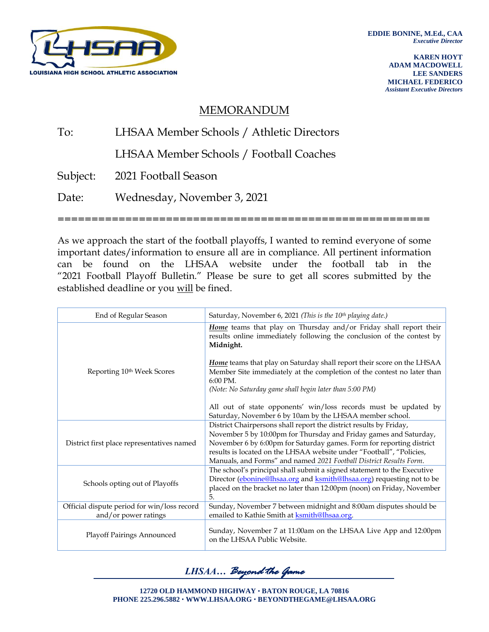

**KAREN HOYT ADAM MACDOWELL LEE SANDERS MICHAEL FEDERICO** *Assistant Executive Directors*

## MEMORANDUM

## To: LHSAA Member Schools / Athletic Directors LHSAA Member Schools / Football Coaches Subject: 2021 Football Season Date: Wednesday, November 3, 2021 =======================================================

As we approach the start of the football playoffs, I wanted to remind everyone of some important dates/information to ensure all are in compliance. All pertinent information can be found on the LHSAA website under the football tab in the "2021 Football Playoff Bulletin." Please be sure to get all scores submitted by the established deadline or you will be fined.

| End of Regular Season                                               | Saturday, November 6, 2021 (This is the 10 <sup>th</sup> playing date.)                                                                                                                                                                                                                                                                                       |  |  |  |  |
|---------------------------------------------------------------------|---------------------------------------------------------------------------------------------------------------------------------------------------------------------------------------------------------------------------------------------------------------------------------------------------------------------------------------------------------------|--|--|--|--|
|                                                                     | Home teams that play on Thursday and/or Friday shall report their<br>results online immediately following the conclusion of the contest by<br>Midnight.                                                                                                                                                                                                       |  |  |  |  |
| Reporting 10 <sup>th</sup> Week Scores                              | Home teams that play on Saturday shall report their score on the LHSAA<br>Member Site immediately at the completion of the contest no later than<br>$6:00 \text{ PM}.$                                                                                                                                                                                        |  |  |  |  |
|                                                                     | (Note: No Saturday game shall begin later than 5:00 PM)                                                                                                                                                                                                                                                                                                       |  |  |  |  |
|                                                                     | All out of state opponents' win/loss records must be updated by<br>Saturday, November 6 by 10am by the LHSAA member school.                                                                                                                                                                                                                                   |  |  |  |  |
| District first place representatives named                          | District Chairpersons shall report the district results by Friday,<br>November 5 by 10:00pm for Thursday and Friday games and Saturday,<br>November 6 by 6:00pm for Saturday games. Form for reporting district<br>results is located on the LHSAA website under "Football", "Policies,<br>Manuals, and Forms" and named 2021 Football District Results Form. |  |  |  |  |
| Schools opting out of Playoffs                                      | The school's principal shall submit a signed statement to the Executive<br>Director (ebonine@lhsaa.org and ksmith@lhsaa.org) requesting not to be<br>placed on the bracket no later than 12:00pm (noon) on Friday, November<br>5.                                                                                                                             |  |  |  |  |
| Official dispute period for win/loss record<br>and/or power ratings | Sunday, November 7 between midnight and 8:00am disputes should be<br>emailed to Kathie Smith at ksmith@lhsaa.org.                                                                                                                                                                                                                                             |  |  |  |  |
| Playoff Pairings Announced                                          | Sunday, November 7 at 11:00am on the LHSAA Live App and 12:00pm<br>on the LHSAA Public Website.                                                                                                                                                                                                                                                               |  |  |  |  |

*LHSAA… Beyond the Game*

**12720 OLD HAMMOND HIGHWAY BATON ROUGE, LA 70816 PHONE 225.296.5882 WWW.LHSAA.ORG BEYONDTHEGAME@LHSAA.ORG**